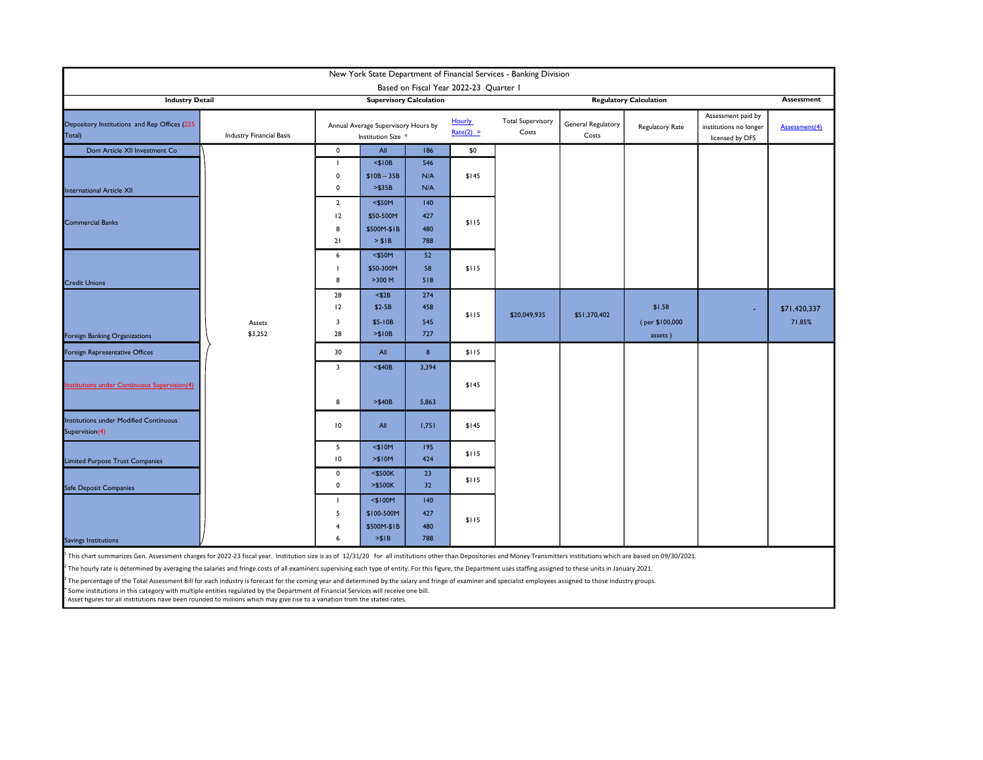| New York State Department of Financial Services - Banking Division<br>Based on Fiscal Year 2022-23 Quarter I                                                                                                                           |                   |                                                                            |                                                   |                          |             |                                   |                               |                                     |                                                                 |                        |
|----------------------------------------------------------------------------------------------------------------------------------------------------------------------------------------------------------------------------------------|-------------------|----------------------------------------------------------------------------|---------------------------------------------------|--------------------------|-------------|-----------------------------------|-------------------------------|-------------------------------------|-----------------------------------------------------------------|------------------------|
| <b>Industry Detail</b>                                                                                                                                                                                                                 |                   |                                                                            | <b>Supervisory Calculation</b>                    |                          |             |                                   | <b>Regulatory Calculation</b> | Assessment                          |                                                                 |                        |
| Depository Institutions and Rep Offices (225<br>Industry Financial Basis<br>Total)                                                                                                                                                     |                   | <b>Hourly</b><br>Annual Average Supervisory Hours by<br>Institution Size * |                                                   |                          | $Rate(2) =$ | <b>Total Supervisory</b><br>Costs | General Regulatory<br>Costs   | Regulatory Rate                     | Assessment paid by<br>institutions no longer<br>licensed by DFS | Assessment(4)          |
| Dom Article XII Investment Co                                                                                                                                                                                                          |                   | $\mathbf 0$                                                                | All                                               | 186                      | \$0         |                                   |                               |                                     |                                                                 |                        |
| <b>International Article XII</b>                                                                                                                                                                                                       |                   | л.<br>$\mathbf 0$<br>$\mathbf 0$                                           | $<$ \$10B<br>$$10B - 35B$<br>> \$35B              | 546<br>N/A<br>N/A        | \$145       |                                   |                               |                                     |                                                                 |                        |
| <b>Commercial Banks</b>                                                                                                                                                                                                                |                   | $\overline{2}$<br>12<br>8<br>21                                            | $<$ \$50M<br>\$50-500M<br>\$500M-\$1B<br>> \$1B   | 140<br>427<br>480<br>788 | \$115       |                                   |                               |                                     |                                                                 |                        |
| <b>Credit Unions</b>                                                                                                                                                                                                                   |                   | 6<br>8                                                                     | $<$ \$50M<br>\$50-300M<br>$>300$ M                | 52<br>58<br>518          | \$115       |                                   |                               |                                     |                                                                 |                        |
| Foreign Banking Organizations                                                                                                                                                                                                          | Assets<br>\$3,252 | 28<br>12<br>$\overline{\mathbf{3}}$<br>28                                  | $<$ \$2B<br>$$2-5B$<br>\$5-10B<br>> \$10B         | 274<br>458<br>545<br>727 | \$115       | \$20,049,935                      | \$51,370,402                  | \$1.58<br>(per \$100,000<br>assets) |                                                                 | \$71,420,337<br>71.85% |
| Foreign Representative Offices                                                                                                                                                                                                         |                   | 30                                                                         | All                                               | 8                        | \$115       |                                   |                               |                                     |                                                                 |                        |
| <b>Institutions under Continuous Supervision(4)</b>                                                                                                                                                                                    |                   | $\overline{\mathbf{3}}$<br>8                                               | $<$ \$40B<br>$> $40B$                             | 3,394<br>5,863           | \$145       |                                   |                               |                                     |                                                                 |                        |
| <b>Institutions under Modified Continuous</b><br>Supervision(4)                                                                                                                                                                        |                   | 10                                                                         | All                                               | 1,751                    | \$145       |                                   |                               |                                     |                                                                 |                        |
| <b>Limited Purpose Trust Companies</b>                                                                                                                                                                                                 |                   | 5<br>10                                                                    | $<$ \$10M<br>> \$10M                              | 195<br>424               | \$115       |                                   |                               |                                     |                                                                 |                        |
| <b>Safe Deposit Companies</b>                                                                                                                                                                                                          |                   | $\mathbf 0$<br>$\mathbf 0$                                                 | $<$ \$500K<br>>\$500K                             | 23<br>32                 | \$115       |                                   |                               |                                     |                                                                 |                        |
| Savings Institutions                                                                                                                                                                                                                   |                   | п.<br>5<br>$\overline{4}$<br>6                                             | $<$ \$100M<br>\$100-500M<br>\$500M-\$1B<br>> \$IB | 140<br>427<br>480<br>788 | \$115       |                                   |                               |                                     |                                                                 |                        |
| <sup>1</sup> This chart summarizes Gen. Assessment charges for 2022-23 fiscal year. Institution size is as of 12/31/20 for all institutions other than Depositories and Money Transmitters institutions which are based on 09/30/2021. |                   |                                                                            |                                                   |                          |             |                                   |                               |                                     |                                                                 |                        |

<sup>2</sup> The hourly rate is determined by averaging the salaries and fringe costs of all examiners supervising each type of entity. For this figure, the Department uses staffing assigned to these units in January 2021.

<sup>3</sup> The percentage of the Total Assessment Bill for each industry is forecast for the coming year and determined by the salary and fringe of examiner and specialist employees assigned to those industry groups.

<sup>4</sup> Some institutions in this category with multiple entities regulated by the Department of Financial Services will receive one bill.

5 Asset figures for all institutions have been rounded to millions which may give rise to a variation from the stated rates.